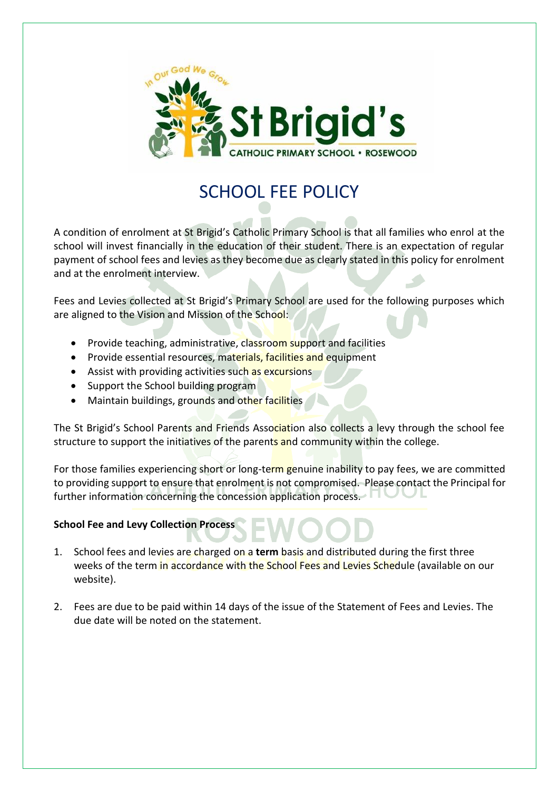

# SCHOOL FEE POLICY

A condition of enrolment at St Brigid's Catholic Primary School is that all families who enrol at the school will invest financially in the education of their student. There is an expectation of regular payment of school fees and levies as they become due as clearly stated in this policy for enrolment and at the enrolment interview.

Fees and Levies collected at St Brigid's Primary School are used for the following purposes which are aligned to the Vision and Mission of the School:

- Provide teaching, administrative, classroom support and facilities
- Provide essential resources, materials, facilities and equipment
- Assist with providing activities such as excursions
- Support the School building program
- Maintain buildings, grounds and other facilities

The St Brigid's School Parents and Friends Association also collects a levy through the school fee structure to support the initiatives of the parents and community within the college.

For those families experiencing short or long-term genuine inability to pay fees, we are committed to providing support to ensure that enrolment is not compromised. Please contact the Principal for further information concerning the concession application process.

## **School Fee and Levy Collection Process**

- 1. School fees and levies are charged on a **term** basis and distributed during the first three weeks of the term in accordance with the School Fees and Levies Schedule (available on our website).
- 2. Fees are due to be paid within 14 days of the issue of the Statement of Fees and Levies. The due date will be noted on the statement.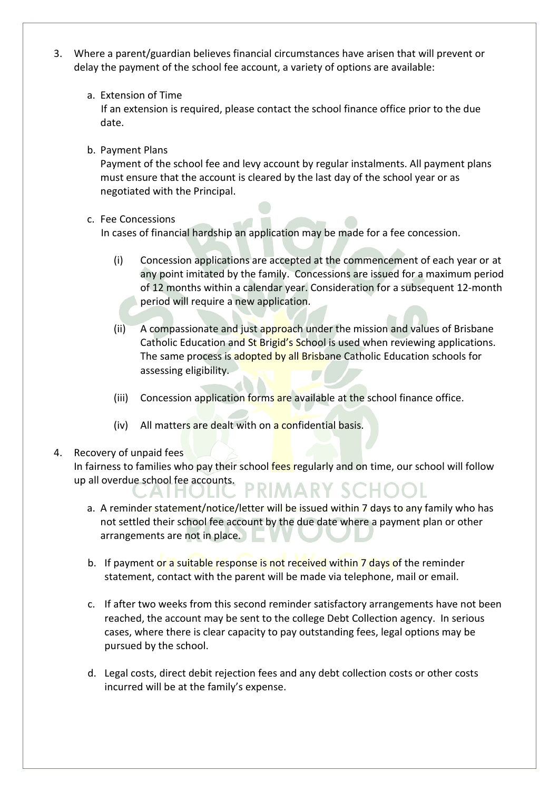- 3. Where a parent/guardian believes financial circumstances have arisen that will prevent or delay the payment of the school fee account, a variety of options are available:
	- a. Extension of Time

 If an extension is required, please contact the school finance office prior to the due date.

b. Payment Plans

Payment of the school fee and levy account by regular instalments. All payment plans must ensure that the account is cleared by the last day of the school year or as negotiated with the Principal.

c. Fee Concessions

In cases of financial hardship an application may be made for a fee concession.

- (i) Concession applications are accepted at the commencement of each year or at any point imitated by the family. Concessions are issued for a maximum period of 12 months within a calendar year. Consideration for a subsequent 12-month period will require a new application.
- (ii) A compassionate and just approach under the mission and values of Brisbane Catholic Education and St Brigid's School is used when reviewing applications. The same process is adopted by all Brisbane Catholic Education schools for assessing eligibility.
- (iii) Concession application forms are available at the school finance office.
- (iv) All matters are dealt with on a confidential basis.

## 4. Recovery of unpaid fees

.AI FI

In fairness to families who pay their school fees regularly and on time, our school will follow up all overdue school fee accounts.<br>
PRIMARY SCH

- a. A reminder statement/notice/letter will be issued within 7 days to any family who has not settled their school fee account by the due date where a payment plan or other arrangements are not in place. ÷.
- b. If payment or a suitable response is not received within 7 days of the reminder statement, contact with the parent will be made via telephone, mail or email.
- c. If after two weeks from this second reminder satisfactory arrangements have not been reached, the account may be sent to the college Debt Collection agency. In serious cases, where there is clear capacity to pay outstanding fees, legal options may be pursued by the school.
- d. Legal costs, direct debit rejection fees and any debt collection costs or other costs incurred will be at the family's expense.